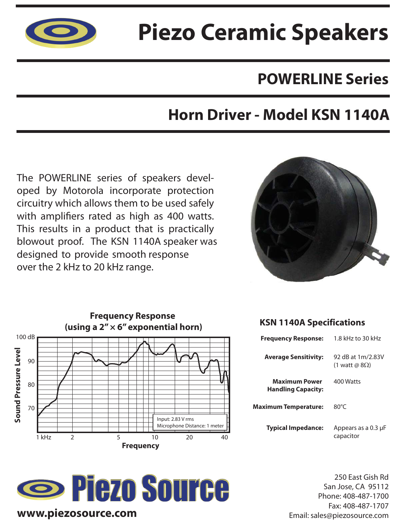

## **Piezo Ceramic Speakers**

### **POWERLINE Series**

### **Horn Driver - Model KSN 1140A**

The POWERLINE series of speakers developed by Motorola incorporate protection circuitry which allows them to be used safely with amplifiers rated as high as 400 watts. This results in a product that is practically blowout proof. The KSN 1140A speaker was designed to provide smooth response over the 2 kHz to 20 kHz range.





# **Source**

#### **KSN 1140A Specifications**

| <b>Frequency Response:</b>                        | 1.8 kHz to 30 kHz                          |
|---------------------------------------------------|--------------------------------------------|
| <b>Average Sensitivity:</b>                       | 92 dB at 1m/2.83V<br>(1 watt @ $8\Omega$ ) |
| <b>Maximum Power</b><br><b>Handling Capacity:</b> | 400 Watts                                  |
| Maximum Temperature:                              | $80^{\circ}$ C                             |
| <b>Typical Impedance:</b>                         | Appears as a 0.3 µF<br>capacitor           |

250 East Gish Rd San Jose, CA 95112 Phone: 408-487-1700 Fax: 408-487-1707 Email: sales@piezosource.com

#### **www.piezosource.com**